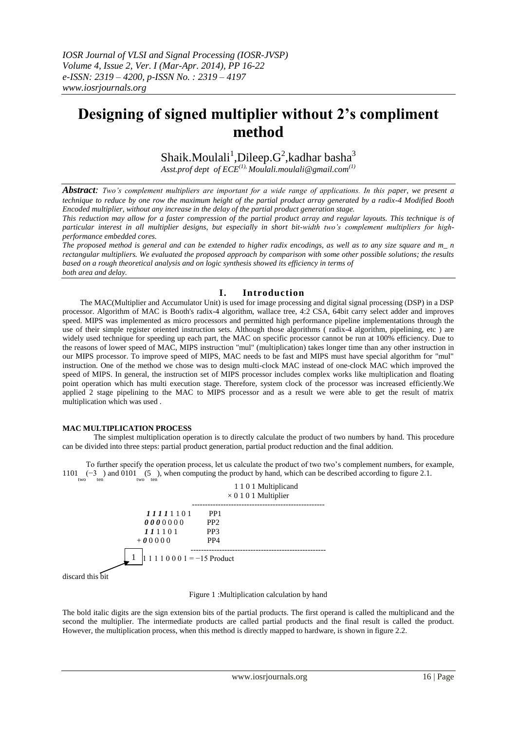# **Designing of signed multiplier without 2's compliment method**

Shaik.Moulali $^1$ ,Dileep. ${\rm G}^2$ ,kadhar basha $^3$ 

*Asst.prof dept of ECE(1), Moulali.moulali@gmail.com(1)*

*Abstract: Two's complement multipliers are important for a wide range of applications. In this paper, we present a technique to reduce by one row the maximum height of the partial product array generated by a radix-4 Modified Booth Encoded multiplier, without any increase in the delay of the partial product generation stage.* 

*This reduction may allow for a faster compression of the partial product array and regular layouts. This technique is of particular interest in all multiplier designs, but especially in short bit-width two's complement multipliers for highperformance embedded cores.*

*The proposed method is general and can be extended to higher radix encodings, as well as to any size square and m\_ n rectangular multipliers. We evaluated the proposed approach by comparison with some other possible solutions; the results based on a rough theoretical analysis and on logic synthesis showed its efficiency in terms of both area and delay.*

# **I. Introduction**

 The MAC(Multiplier and Accumulator Unit) is used for image processing and digital signal processing (DSP) in a DSP processor. Algorithm of MAC is Booth's radix-4 algorithm, wallace tree, 4:2 CSA, 64bit carry select adder and improves speed. MIPS was implemented as micro processors and permitted high performance pipeline implementations through the use of their simple register oriented instruction sets. Although those algorithms ( radix-4 algorithm, pipelining, etc ) are widely used technique for speeding up each part, the MAC on specific processor cannot be run at 100% efficiency. Due to the reasons of lower speed of MAC, MIPS instruction "mul" (multiplication) takes longer time than any other instruction in our MIPS processor. To improve speed of MIPS, MAC needs to be fast and MIPS must have special algorithm for "mul" instruction. One of the method we chose was to design multi-clock MAC instead of one-clock MAC which improved the speed of MIPS. In general, the instruction set of MIPS processor includes complex works like multiplication and floating point operation which has multi execution stage. Therefore, system clock of the processor was increased efficiently.We applied 2 stage pipelining to the MAC to MIPS processor and as a result we were able to get the result of matrix multiplication which was used .

# **MAC MULTIPLICATION PROCESS**

The simplest multiplication operation is to directly calculate the product of two numbers by hand. This procedure can be divided into three steps: partial product generation, partial product reduction and the final addition.

 To further specify the operation process, let us calculate the product of two two's complement numbers, for example, 1101 (−3) and 0101 (5), when computing the product by hand, which can be described according to figure 2.1.<br><sub>two</sub> ten



discard this bit

Figure 1 :Multiplication calculation by hand

The bold italic digits are the sign extension bits of the partial products. The first operand is called the multiplicand and the second the multiplier. The intermediate products are called partial products and the final result is called the product. However, the multiplication process, when this method is directly mapped to hardware, is shown in figure 2.2.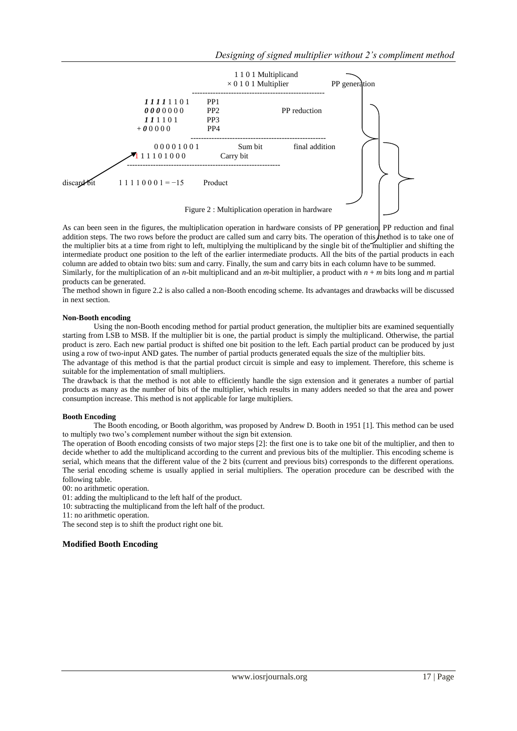

Figure 2 : Multiplication operation in hardware

As can been seen in the figures, the multiplication operation in hardware consists of PP generation, PP reduction and final addition steps. The two rows before the product are called sum and carry bits. The operation of this method is to take one of the multiplier bits at a time from right to left, multiplying the multiplicand by the single bit of the multiplier and shifting the intermediate product one position to the left of the earlier intermediate products. All the bits of the partial products in each column are added to obtain two bits: sum and carry. Finally, the sum and carry bits in each column have to be summed.

Similarly, for the multiplication of an *n*-bit multiplicand and an *m*-bit multiplier, a product with  $n + m$  bits long and *m* partial products can be generated.

The method shown in figure 2.2 is also called a non-Booth encoding scheme. Its advantages and drawbacks will be discussed in next section.

### **Non-Booth encoding**

Using the non-Booth encoding method for partial product generation, the multiplier bits are examined sequentially starting from LSB to MSB. If the multiplier bit is one, the partial product is simply the multiplicand. Otherwise, the partial product is zero. Each new partial product is shifted one bit position to the left. Each partial product can be produced by just using a row of two-input AND gates. The number of partial products generated equals the size of the multiplier bits.

The advantage of this method is that the partial product circuit is simple and easy to implement. Therefore, this scheme is suitable for the implementation of small multipliers.

The drawback is that the method is not able to efficiently handle the sign extension and it generates a number of partial products as many as the number of bits of the multiplier, which results in many adders needed so that the area and power consumption increase. This method is not applicable for large multipliers.

### **Booth Encoding**

The Booth encoding, or Booth algorithm, was proposed by Andrew D. Booth in 1951 [1]. This method can be used to multiply two two's complement number without the sign bit extension.

The operation of Booth encoding consists of two major steps [2]: the first one is to take one bit of the multiplier, and then to decide whether to add the multiplicand according to the current and previous bits of the multiplier. This encoding scheme is serial, which means that the different value of the 2 bits (current and previous bits) corresponds to the different operations. The serial encoding scheme is usually applied in serial multipliers. The operation procedure can be described with the following table.

00: no arithmetic operation.

01: adding the multiplicand to the left half of the product.

10: subtracting the multiplicand from the left half of the product.

11: no arithmetic operation. The second step is to shift the product right one bit.

**Modified Booth Encoding**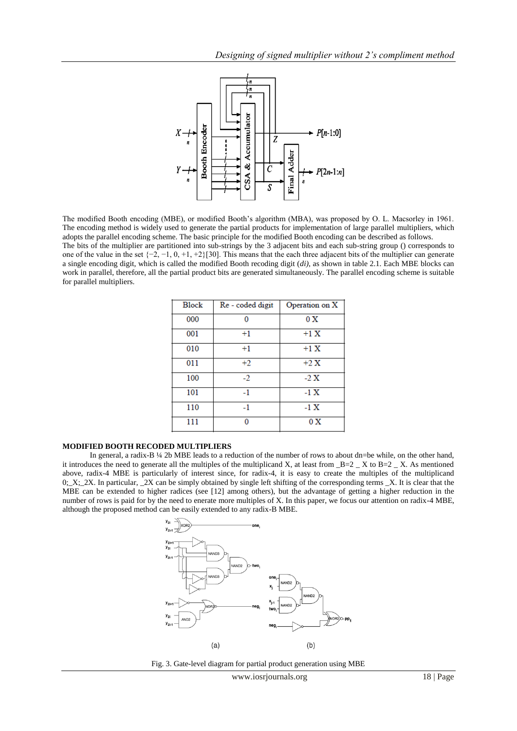

The modified Booth encoding (MBE), or modified Booth's algorithm (MBA), was proposed by O. L. Macsorley in 1961. The encoding method is widely used to generate the partial products for implementation of large parallel multipliers, which adopts the parallel encoding scheme. The basic principle for the modified Booth encoding can be described as follows. The bits of the multiplier are partitioned into sub-strings by the 3 adjacent bits and each sub-string group () corresponds to one of the value in the set  $\{-2, -1, 0, +1, +2\}$ [30]. This means that the each three adjacent bits of the multiplier can generate a single encoding digit, which is called the modified Booth recoding digit (*di)*, as shown in table 2.1. Each MBE blocks can work in parallel, therefore, all the partial product bits are generated simultaneously. The parallel encoding scheme is suitable for parallel multipliers.

| <b>Block</b> | Re - coded digit | Operation on X  |
|--------------|------------------|-----------------|
| 000          | n                | 0 X             |
| 001          | $+1$             | $+1X$           |
| 010          | $+1$             | $+1 X$          |
| 011          | $+2$             | $+2X$           |
| 100          | $-2$             | $-2 \mathbf{X}$ |
| 101          | $-1$             | $-1 \text{ X}$  |
| 110          | $-1$             | -1 X            |
| 111          | n                | 0 X             |

# **MODIFIED BOOTH RECODED MULTIPLIERS**

In general, a radix-B ¼ 2b MBE leads to a reduction of the number of rows to about dn=be while, on the other hand, it introduces the need to generate all the multiples of the multiplicand X, at least from  $B=2$   $X$  to  $B=2$   $X$ . As mentioned above, radix-4 MBE is particularly of interest since, for radix-4, it is easy to create the multiples of the multiplicand 0;  $X$ ;  $2X$ . In particular,  $2X$  can be simply obtained by single left shifting of the corresponding terms  $X$ . It is clear that the MBE can be extended to higher radices (see [12] among others), but the advantage of getting a higher reduction in the number of rows is paid for by the need to enerate more multiples of X. In this paper, we focus our attention on radix-4 MBE, although the proposed method can be easily extended to any radix-B MBE.



Fig. 3. Gate-level diagram for partial product generation using MBE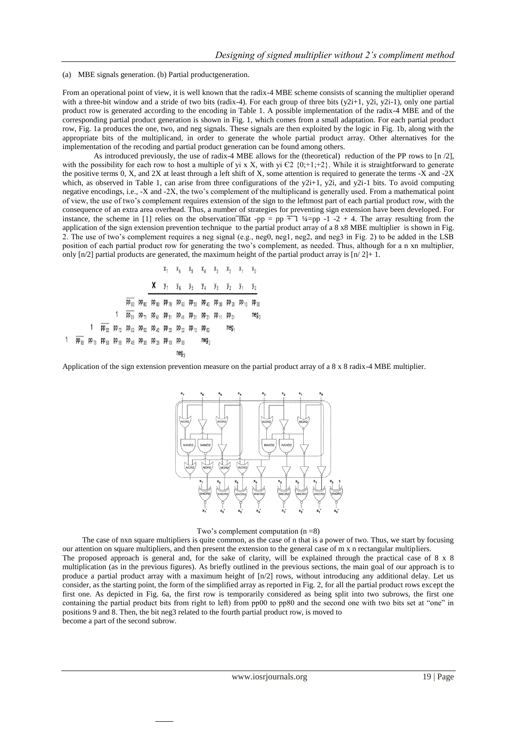#### (a) MBE signals generation. (b) Partial productgeneration.

From an operational point of view, it is well known that the radix-4 MBE scheme consists of scanning the multiplier operand with a three-bit window and a stride of two bits (radix-4). For each group of three bits (y2i+1, y2i, y2i-1), only one partial product row is generated according to the encoding in Table 1. A possible implementation of the radix-4 MBE and of the corresponding partial product generation is shown in Fig. 1, which comes from a small adaptation. For each partial product row, Fig. 1a produces the one, two, and neg signals. These signals are then exploited by the logic in Fig. 1b, along with the appropriate bits of the multiplicand, in order to generate the whole partial product array. Other alternatives for the implementation of the recoding and partial product generation can be found among others.

As introduced previously, the use of radix-4 MBE allows for the (theoretical) reduction of the PP rows to [n /2], with the possibility for each row to host a multiple of yi x X, with yi  $\epsilon$ 2 {0;+1;+2}. While it is straightforward to generate the positive terms 0, X, and 2X at least through a left shift of X, some attention is required to generate the terms -X and -2X which, as observed in Table 1, can arise from three configurations of the  $\gamma 2i+1$ ,  $\gamma 2i$ , and  $\gamma 2i-1$  bits. To avoid computing negative encodings, i.e., -X and -2X, the two's complement of the multiplicand is generally used. From a mathematical point of view, the use of two's complement requires extension of the sign to the leftmost part of each partial product row, with the consequence of an extra area overhead. Thus, a number of strategies for preventing sign extension have been developed. For instance, the scheme in [1] relies on the observation that -pp = pp  $\overline{+}$  1  $\frac{1}{4}$ =pp -1 -2 + 4. The array resulting from the application of the sign extension prevention technique to the partial product array of a 8 x8 MBE multiplier is shown in Fig. 2. The use of two's complement requires a neg signal (e.g., neg0, neg1, neg2, and neg3 in Fig. 2) to be added in the LSB position of each partial product row for generating the two's complement, as needed. Thus, although for a n xn multiplier, only  $\lceil n/2 \rceil$  partial products are generated, the maximum height of the partial product array is  $\lceil n/2 \rceil + 1$ .

| $x_7$                 | $x_6$                 | $x_5$                 | $x_4$                 | $x_3$                 | $x_2$                 | $x_1$                 | $x_0$                 |                       |                       |                       |                       |                       |                       |                       |                       |                       |                       |                       |                       |                       |                       |                       |                       |                       |                       |                       |                       |                       |                       |                       |                       |                       |                       |                       |                       |       |
|-----------------------|-----------------------|-----------------------|-----------------------|-----------------------|-----------------------|-----------------------|-----------------------|-----------------------|-----------------------|-----------------------|-----------------------|-----------------------|-----------------------|-----------------------|-----------------------|-----------------------|-----------------------|-----------------------|-----------------------|-----------------------|-----------------------|-----------------------|-----------------------|-----------------------|-----------------------|-----------------------|-----------------------|-----------------------|-----------------------|-----------------------|-----------------------|-----------------------|-----------------------|-----------------------|-----------------------|-------|
| $p \overline{p_{00}}$ | $p \overline{p_{00}}$ | $p \overline{p_{00}}$ | $p \overline{p_{00}}$ | $p \overline{p_{00}}$ | $p \overline{p_{00}}$ | $p \overline{p_{00}}$ | $p \overline{p_{00}}$ | $p \overline{p_{00}}$ | $p \overline{p_{00}}$ | $p \overline{p_{00}}$ | $p \overline{p_{00}}$ | $p \overline{p_{00}}$ | $p \overline{p_{00}}$ | $p \overline{p_{00}}$ | $p \overline{p_{00}}$ | $p \overline{p_{00}}$ | $p \overline{p_{00}}$ | $p \overline{p_{00}}$ | $p \overline{p_{00}}$ | $p \overline{p_{00}}$ | $p \overline{p_{00}}$ | $p \overline{p_{00}}$ | $p \overline{p_{00}}$ | $p \overline{p_{00}}$ | $p \overline{p_{00}}$ | $p \overline{p_{00}}$ | $p \overline{p_{00}}$ | $p \overline{p_{00}}$ | $p \overline{p_{00}}$ | $p \overline{p_{00}}$ | $p \overline{p_{00}}$ | $p \overline{p_{00}}$ | $p \overline{p_{00}}$ | $p \overline{p_{00}}$ | $p \overline{p_{00}}$ | $p \$ |

Application of the sign extension prevention measure on the partial product array of a 8 x 8 radix-4 MBE multiplier.



#### Two's complement computation  $(n = 8)$

 The case of nxn square multipliers is quite common, as the case of n that is a power of two. Thus, we start by focusing our attention on square multipliers, and then present the extension to the general case of m x n rectangular multipliers. The proposed approach is general and, for the sake of clarity, will be explained through the practical case of  $8 \times 8$ multiplication (as in the previous figures). As briefly outlined in the previous sections, the main goal of our approach is to produce a partial product array with a maximum height of [n/2] rows, without introducing any additional delay. Let us consider, as the starting point, the form of the simplified array as reported in Fig. 2, for all the partial product rows except the first one. As depicted in Fig. 6a, the first row is temporarily considered as being split into two subrows, the first one containing the partial product bits from right to left) from pp00 to pp80 and the second one with two bits set at "one" in positions 9 and 8. Then, the bit neg3 related to the fourth partial product row, is moved to become a part of the second subrow.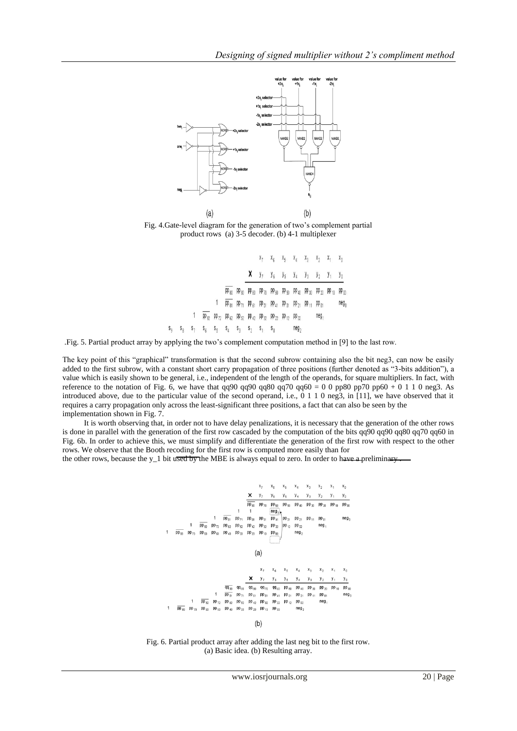

Fig. 4.Gate-level diagram for the generation of two's complement partial product rows (a) 3-5 decoder. (b) 4-1 multiplexer

|       |       |                                                                                           |  |                                                                                                               |  | $X_7$ $X_6$ $X_5$ $X_4$ $X_3$ $X_2$ $X_1$ $X_0$          |      |                  |           |
|-------|-------|-------------------------------------------------------------------------------------------|--|---------------------------------------------------------------------------------------------------------------|--|----------------------------------------------------------|------|------------------|-----------|
|       |       |                                                                                           |  |                                                                                                               |  | <b>X</b> $y_7$ $y_6$ $y_5$ $y_4$ $y_3$ $y_2$ $y_1$ $y_0$ |      |                  |           |
|       |       |                                                                                           |  | $pp_{80}$ $pp_{80}$ $pp_{80}$ $pp_{70}$ $pp_{60}$ $pp_{50}$ $pp_{40}$ $pp_{30}$ $pp_{20}$ $pp_{10}$ $pp_{00}$ |  |                                                          |      |                  |           |
|       |       |                                                                                           |  | $pp_{81}$ $pp_{71}$ $pp_{61}$ $pp_{51}$ $pp_{41}$ $pp_{31}$ $pp_{21}$ $pp_{11}$ $pp_{01}$                     |  |                                                          |      |                  | $neg_{n}$ |
|       |       | $pp_{B2}$ $pp_{72}$ $pp_{62}$ $pp_{52}$ $pp_{42}$ $pp_{32}$ $pp_{72}$ $pp_{12}$ $pp_{02}$ |  |                                                                                                               |  |                                                          |      | neg <sub>1</sub> |           |
| $S_0$ | $S_R$ | $S_7$ $S_6$ $S_5$ $S_4$ $S_3$ $S_2$ $S_1$ $S_0$                                           |  |                                                                                                               |  |                                                          | neg, |                  |           |

.Fig. 5. Partial product array by applying the two's complement computation method in [9] to the last row.

The key point of this "graphical" transformation is that the second subrow containing also the bit neg3, can now be easily added to the first subrow, with a constant short carry propagation of three positions (further denoted as "3-bits addition"), a value which is easily shown to be general, i.e., independent of the length of the operands, for square multipliers. In fact, with reference to the notation of Fig. 6, we have that qq90 qq90 qq80 qq70 qq60 = 0 0 pp80 pp70 pp60 + 0 1 1 0 neg3. As introduced above, due to the particular value of the second operand, i.e.,  $\hat{0}$  1 1 0 neg3, in [11], we have observed that it requires a carry propagation only across the least-significant three positions, a fact that can also be seen by the implementation shown in Fig. 7.

 It is worth observing that, in order not to have delay penalizations, it is necessary that the generation of the other rows is done in parallel with the generation of the first row cascaded by the computation of the bits qq90 qq90 qq80 qq70 qq60 in Fig. 6b. In order to achieve this, we must simplify and differentiate the generation of the first row with respect to the other rows. We observe that the Booth recoding for the first row is computed more easily than for

the other rows, because the y\_1 bit used by the MBE is always equal to zero. In order to have a preliminary ...

Fig. 6. Partial product array after adding the last neg bit to the first row. (a) Basic idea. (b) Resulting array.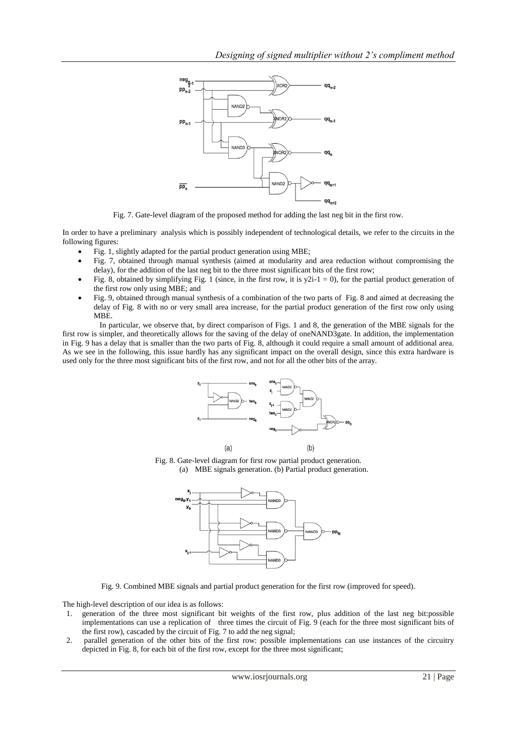

Fig. 7. Gate-level diagram of the proposed method for adding the last neg bit in the first row.

In order to have a preliminary analysis which is possibly independent of technological details, we refer to the circuits in the following figures:

- Fig. 1, slightly adapted for the partial product generation using MBE;
- Fig. 7, obtained through manual synthesis (aimed at modularity and area reduction without compromising the delay), for the addition of the last neg bit to the three most significant bits of the first row;
- Fig. 8, obtained by simplifying Fig. 1 (since, in the first row, it is  $y2i-1 = 0$ ), for the partial product generation of the first row only using MBE; and
- Fig. 9, obtained through manual synthesis of a combination of the two parts of Fig. 8 and aimed at decreasing the delay of Fig. 8 with no or very small area increase, for the partial product generation of the first row only using MBE.

 In particular, we observe that, by direct comparison of Figs. 1 and 8, the generation of the MBE signals for the first row is simpler, and theoretically allows for the saving of the delay of oneNAND3gate. In addition, the implementation in Fig. 9 has a delay that is smaller than the two parts of Fig. 8, although it could require a small amount of additional area. As we see in the following, this issue hardly has any significant impact on the overall design, since this extra hardware is used only for the three most significant bits of the first row, and not for all the other bits of the array.



Fig. 8. Gate-level diagram for first row partial product generation. (a) MBE signals generation. (b) Partial product generation.



Fig. 9. Combined MBE signals and partial product generation for the first row (improved for speed).

The high-level description of our idea is as follows:

- 1. generation of the three most significant bit weights of the first row, plus addition of the last neg bit:possible implementations can use a replication of three times the circuit of Fig. 9 (each for the three most significant bits of the first row), cascaded by the circuit of Fig. 7 to add the neg signal;
- 2. parallel generation of the other bits of the first row: possible implementations can use instances of the circuitry depicted in Fig. 8, for each bit of the first row, except for the three most significant;